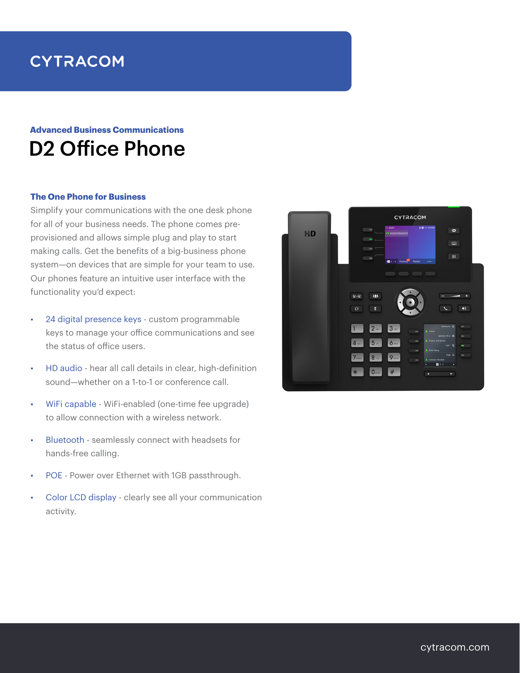# **CYTRACOM**

## D2 Office Phone **Advanced Business Communications**

#### **The One Phone for Business**

Simplify your communications with the one desk phone for all of your business needs. The phone comes preprovisioned and allows simple plug and play to start making calls. Get the benefits of a big-business phone system—on devices that are simple for your team to use. Our phones feature an intuitive user interface with the functionality you'd expect:

- • 24 digital presence keys custom programmable keys to manage your office communications and see the status of office users.
- HD audio hear all call details in clear, high-definition sound—whether on a 1-to-1 or conference call.
- WiFi capable WiFi-enabled (one-time fee upgrade) to allow connection with a wireless network.
- Bluetooth seamlessly connect with headsets for hands-free calling.
- POE Power over Ethernet with 1GB passthrough.
- Color LCD display clearly see all your communication activity.